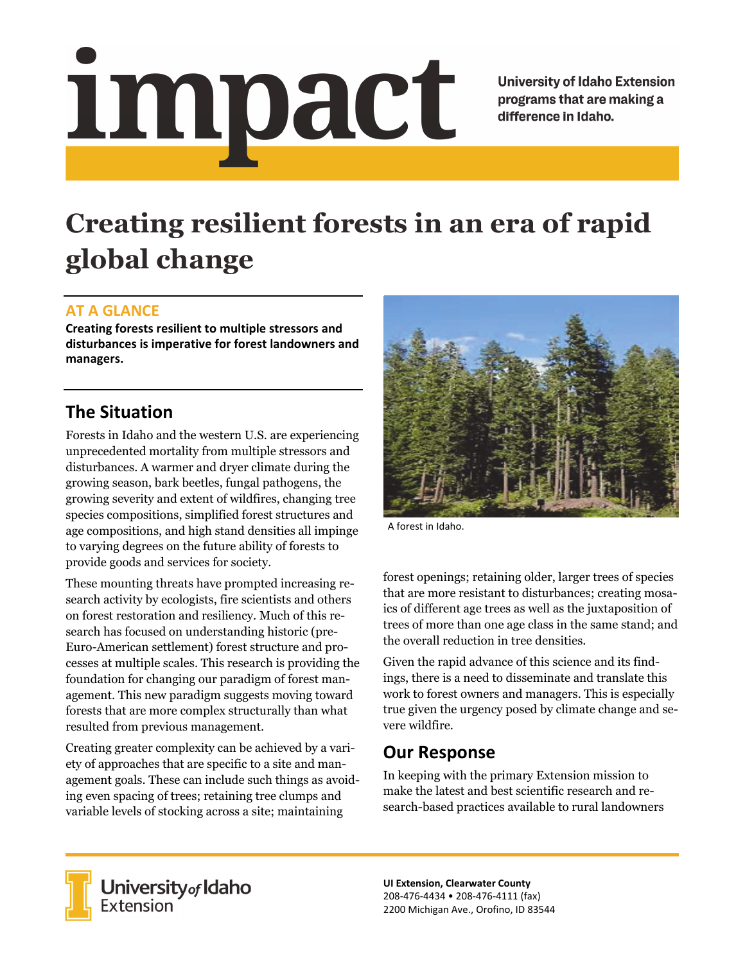# <u>impact</u>

**University of Idaho Extension** programs that are making a difference in Idaho.

# **Creating resilient forests in an era of rapid global change**

### **AT A GLANCE**

**Creating forests resilient to multiple stressors and disturbances is imperative for forest landowners and managers.** 

## **The Situation**

Forests in Idaho and the western U.S. are experiencing unprecedented mortality from multiple stressors and disturbances. A warmer and dryer climate during the growing season, bark beetles, fungal pathogens, the growing severity and extent of wildfires, changing tree species compositions, simplified forest structures and age compositions, and high stand densities all impinge to varying degrees on the future ability of forests to provide goods and services for society.

These mounting threats have prompted increasing research activity by ecologists, fire scientists and others on forest restoration and resiliency. Much of this research has focused on understanding historic (pre-Euro-American settlement) forest structure and processes at multiple scales. This research is providing the foundation for changing our paradigm of forest management. This new paradigm suggests moving toward forests that are more complex structurally than what resulted from previous management.

Creating greater complexity can be achieved by a variety of approaches that are specific to a site and management goals. These can include such things as avoiding even spacing of trees; retaining tree clumps and variable levels of stocking across a site; maintaining



A forest in Idaho.

forest openings; retaining older, larger trees of species that are more resistant to disturbances; creating mosaics of different age trees as well as the juxtaposition of trees of more than one age class in the same stand; and the overall reduction in tree densities.

Given the rapid advance of this science and its findings, there is a need to disseminate and translate this work to forest owners and managers. This is especially true given the urgency posed by climate change and severe wildfire.

### **Our Response**

In keeping with the primary Extension mission to make the latest and best scientific research and research-based practices available to rural landowners



**University** of Idaho<br>Extension

**UI Extension, Clearwater County**  208‐476‐4434 • 208‐476‐4111 (fax) 2200 Michigan Ave., Orofino, ID 83544